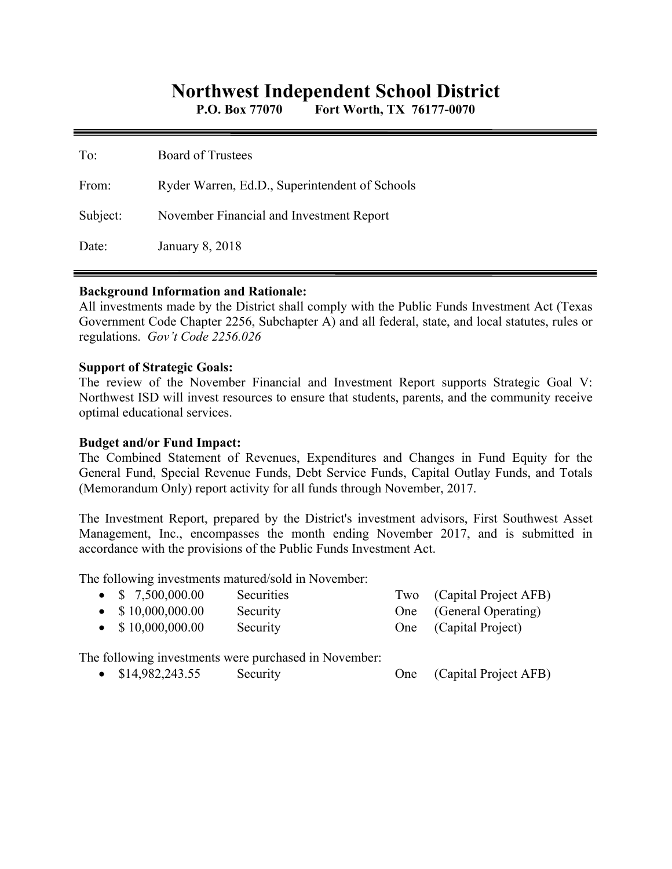## **Northwest Independent School District**

**P.O. Box 77070 Fort Worth, TX 76177-0070** 

| To:      | Board of Trustees                              |
|----------|------------------------------------------------|
| From:    | Ryder Warren, Ed.D., Superintendent of Schools |
| Subject: | November Financial and Investment Report       |
| Date:    | <b>January 8, 2018</b>                         |

#### **Background Information and Rationale:**

All investments made by the District shall comply with the Public Funds Investment Act (Texas Government Code Chapter 2256, Subchapter A) and all federal, state, and local statutes, rules or regulations. *Gov't Code 2256.026* 

#### **Support of Strategic Goals:**

The review of the November Financial and Investment Report supports Strategic Goal V: Northwest ISD will invest resources to ensure that students, parents, and the community receive optimal educational services.

### **Budget and/or Fund Impact:**

The Combined Statement of Revenues, Expenditures and Changes in Fund Equity for the General Fund, Special Revenue Funds, Debt Service Funds, Capital Outlay Funds, and Totals (Memorandum Only) report activity for all funds through November, 2017.

The Investment Report, prepared by the District's investment advisors, First Southwest Asset Management, Inc., encompasses the month ending November 2017, and is submitted in accordance with the provisions of the Public Funds Investment Act.

The following investments matured/sold in November:

| $\bullet$ \$ 7,500,000.00 | <b>Securities</b> | Two (Capital Project AFB) |
|---------------------------|-------------------|---------------------------|
| $\bullet$ \$10,000,000.00 | Security          | One (General Operating)   |
| $\bullet$ \$10,000,000.00 | Security          | One (Capital Project)     |

The following investments were purchased in November:

• \$14,982,243.55 Security One (Capital Project AFB)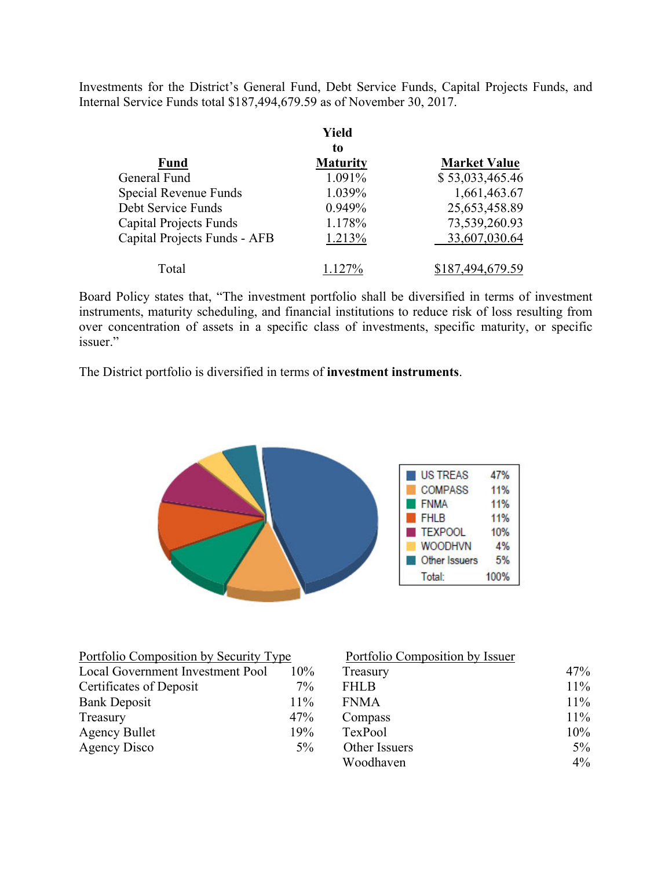Investments for the District's General Fund, Debt Service Funds, Capital Projects Funds, and Internal Service Funds total \$187,494,679.59 as of November 30, 2017.

|                               | Yield           |                     |
|-------------------------------|-----------------|---------------------|
|                               | to              |                     |
| <b>Fund</b>                   | <b>Maturity</b> | <b>Market Value</b> |
| General Fund                  | 1.091%          | \$53,033,465.46     |
| Special Revenue Funds         | 1.039%          | 1,661,463.67        |
| Debt Service Funds            | 0.949%          | 25,653,458.89       |
| <b>Capital Projects Funds</b> | 1.178%          | 73,539,260.93       |
| Capital Projects Funds - AFB  | 1.213%          | 33,607,030.64       |
| Total                         | 1.127%          | \$187,494,679.59    |

Board Policy states that, "The investment portfolio shall be diversified in terms of investment instruments, maturity scheduling, and financial institutions to reduce risk of loss resulting from over concentration of assets in a specific class of investments, specific maturity, or specific issuer."

The District portfolio is diversified in terms of **investment instruments**.



| Portfolio Composition by Security Type |        | Portfolio Composition by Issuer |        |
|----------------------------------------|--------|---------------------------------|--------|
| Local Government Investment Pool       | $10\%$ | Treasury                        | 47%    |
| Certificates of Deposit                | $7\%$  | <b>FHLB</b>                     | $11\%$ |
| <b>Bank Deposit</b>                    | $11\%$ | <b>FNMA</b>                     | $11\%$ |
| Treasury                               | 47%    | Compass                         | $11\%$ |
| <b>Agency Bullet</b>                   | 19%    | TexPool                         | 10%    |
| Agency Disco                           | $5\%$  | Other Issuers                   | $5\%$  |
|                                        |        | Woodhaven                       | $4\%$  |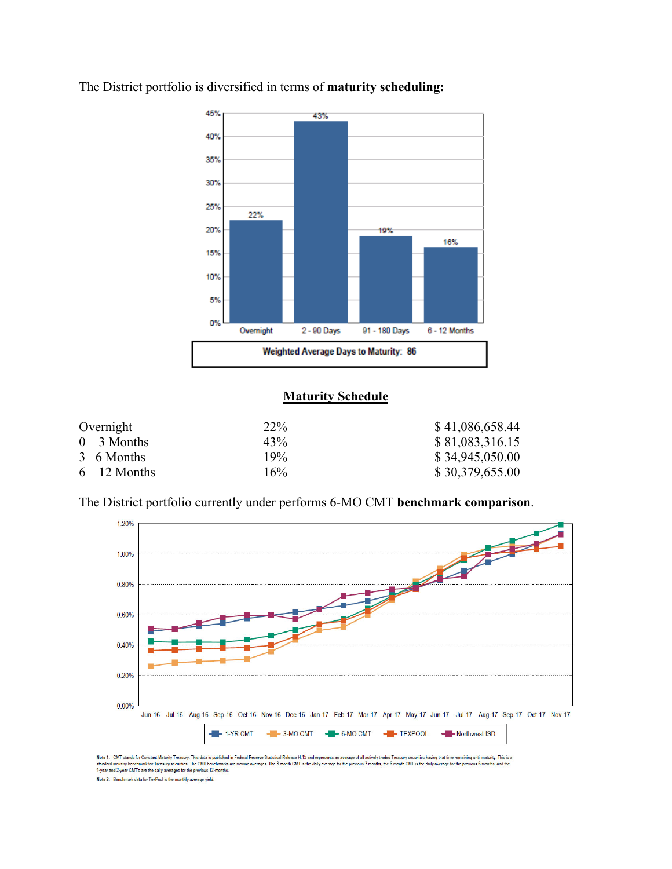

The District portfolio is diversified in terms of **maturity scheduling:** 

### **Maturity Schedule**

| Overnight       | 22\% | \$41,086,658.44 |
|-----------------|------|-----------------|
| $0-3$ Months    | 43%  | \$81,083,316.15 |
| $3 - 6$ Months  | 19%  | \$34,945,050.00 |
| $6 - 12$ Months | 16%  | \$30,379,655.00 |

The District portfolio currently under performs 6-MO CMT **benchmark comparison**.



Note 1: CMT stands for Constant Maturity Treasury. This data is published in Federal Reserve Statistical Release 1.15 and represents an average of all actively traded Treasury securities having that time remaining until ma

Note 2: Benchmark data for TexPool is the monthly average yield.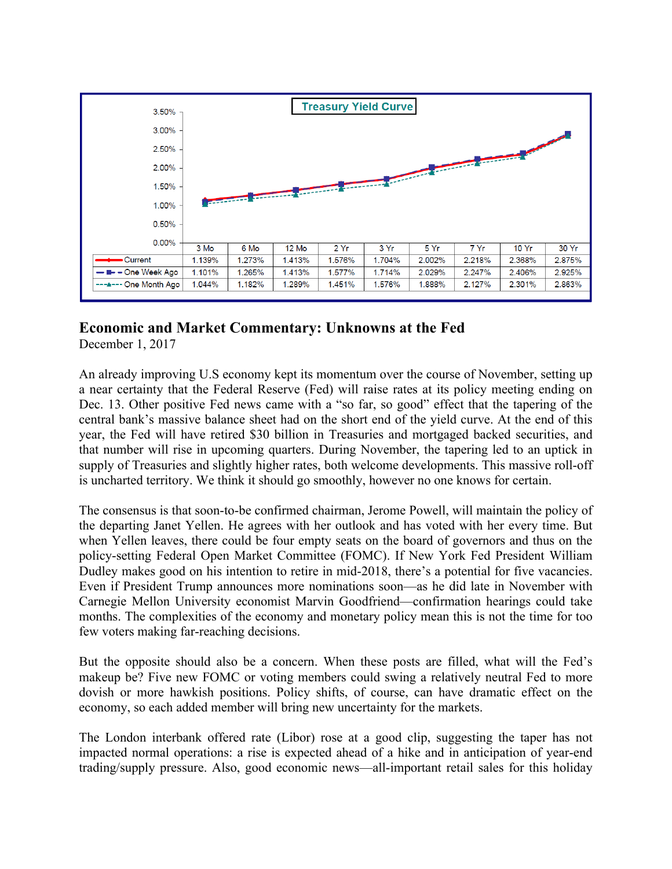

# **Economic and Market Commentary: Unknowns at the Fed**

December 1, 2017

An already improving U.S economy kept its momentum over the course of November, setting up a near certainty that the Federal Reserve (Fed) will raise rates at its policy meeting ending on Dec. 13. Other positive Fed news came with a "so far, so good" effect that the tapering of the central bank's massive balance sheet had on the short end of the yield curve. At the end of this year, the Fed will have retired \$30 billion in Treasuries and mortgaged backed securities, and that number will rise in upcoming quarters. During November, the tapering led to an uptick in supply of Treasuries and slightly higher rates, both welcome developments. This massive roll-off is uncharted territory. We think it should go smoothly, however no one knows for certain.

The consensus is that soon-to-be confirmed chairman, Jerome Powell, will maintain the policy of the departing Janet Yellen. He agrees with her outlook and has voted with her every time. But when Yellen leaves, there could be four empty seats on the board of governors and thus on the policy-setting Federal Open Market Committee (FOMC). If New York Fed President William Dudley makes good on his intention to retire in mid-2018, there's a potential for five vacancies. Even if President Trump announces more nominations soon—as he did late in November with Carnegie Mellon University economist Marvin Goodfriend—confirmation hearings could take months. The complexities of the economy and monetary policy mean this is not the time for too few voters making far-reaching decisions.

But the opposite should also be a concern. When these posts are filled, what will the Fed's makeup be? Five new FOMC or voting members could swing a relatively neutral Fed to more dovish or more hawkish positions. Policy shifts, of course, can have dramatic effect on the economy, so each added member will bring new uncertainty for the markets.

The London interbank offered rate (Libor) rose at a good clip, suggesting the taper has not impacted normal operations: a rise is expected ahead of a hike and in anticipation of year-end trading/supply pressure. Also, good economic news—all-important retail sales for this holiday